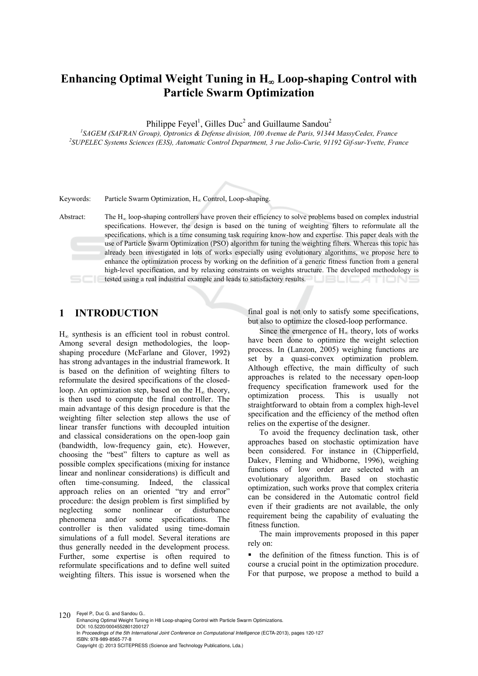# Enhancing Optimal Weight Tuning in H<sub>∞</sub> Loop-shaping Control with **Particle Swarm Optimization**

Philippe Feyel<sup>1</sup>, Gilles Duc<sup>2</sup> and Guillaume Sandou<sup>2</sup>

<sup>1</sup>SAGEM (SAFRAN Group), Optronics & Defense division, 100 Avenue de Paris, 91344 MassyCedex, France<br><sup>2</sup>SUPELEC Systems Sciences (E<sup>2</sup>S), Automatic Control Department, <sup>2</sup> mic Jolio Curie, 91192 Cif. aux Vuotte, Ere *SUPELEC Systems Sciences (E3S), Automatic Control Department, 3 rue Jolio-Curie, 91192 Gif-sur-Yvette, France* 

Keywords: Particle Swarm Optimization,  $H_{\infty}$  Control, Loop-shaping.

Abstract: The  $H_{\infty}$  loop-shaping controllers have proven their efficiency to solve problems based on complex industrial specifications. However, the design is based on the tuning of weighting filters to reformulate all the specifications, which is a time consuming task requiring know-how and expertise. This paper deals with the use of Particle Swarm Optimization (PSO) algorithm for tuning the weighting filters. Whereas this topic has already been investigated in lots of works especially using evolutionary algorithms, we propose here to enhance the optimization process by working on the definition of a generic fitness function from a general high-level specification, and by relaxing constraints on weights structure. The developed methodology is tested using a real industrial example and leads to satisfactory results.

# **1 INTRODUCTION**

 $H_{\infty}$  synthesis is an efficient tool in robust control. Among several design methodologies, the loopshaping procedure (McFarlane and Glover, 1992) has strong advantages in the industrial framework. It is based on the definition of weighting filters to reformulate the desired specifications of the closedloop. An optimization step, based on the  $H<sub>\infty</sub>$  theory, is then used to compute the final controller. The main advantage of this design procedure is that the weighting filter selection step allows the use of linear transfer functions with decoupled intuition and classical considerations on the open-loop gain (bandwidth, low-frequency gain, etc). However, choosing the "best" filters to capture as well as possible complex specifications (mixing for instance linear and nonlinear considerations) is difficult and often time-consuming. Indeed, the classical approach relies on an oriented "try and error" procedure: the design problem is first simplified by neglecting some nonlinear or disturbance phenomena and/or some specifications. The controller is then validated using time-domain simulations of a full model. Several iterations are thus generally needed in the development process. Further, some expertise is often required to reformulate specifications and to define well suited weighting filters. This issue is worsened when the

final goal is not only to satisfy some specifications, but also to optimize the closed-loop performance.

Since the emergence of  $H_{\infty}$  theory, lots of works have been done to optimize the weight selection process. In (Lanzon, 2005) weighing functions are set by a quasi-convex optimization problem. Although effective, the main difficulty of such approaches is related to the necessary open-loop frequency specification framework used for the optimization process. This is usually not straightforward to obtain from a complex high-level specification and the efficiency of the method often relies on the expertise of the designer.

To avoid the frequency declination task, other approaches based on stochastic optimization have been considered. For instance in (Chipperfield, Dakev, Fleming and Whidborne, 1996), weighing functions of low order are selected with an evolutionary algorithm. Based on stochastic optimization, such works prove that complex criteria can be considered in the Automatic control field even if their gradients are not available, the only requirement being the capability of evaluating the fitness function.

The main improvements proposed in this paper rely on:

 the definition of the fitness function. This is of course a crucial point in the optimization procedure. For that purpose, we propose a method to build a

120 Feyel P., Duc G. and Sandou G.. Enhancing Optimal Weight Tuning in H8 Loop-shaping Control with Particle Swarm Optimizations. DOI: 10.5220/0004552801200127 In *Proceedings of the 5th International Joint Conference on Computational Intelligence* (ECTA-2013), pages 120-127 ISBN: 978-989-8565-77-8 Copyright © 2013 SCITEPRESS (Science and Technology Publications, Lda.)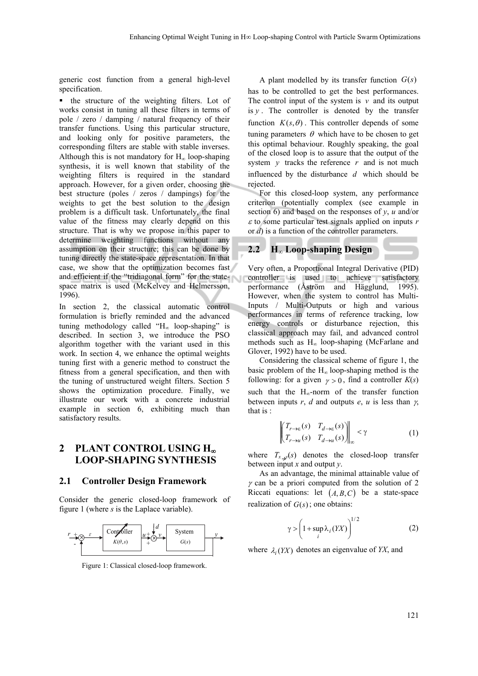generic cost function from a general high-level specification.

 the structure of the weighting filters. Lot of works consist in tuning all these filters in terms of pole / zero / damping / natural frequency of their transfer functions. Using this particular structure, and looking only for positive parameters, the corresponding filters are stable with stable inverses. Although this is not mandatory for  $H_{\infty}$  loop-shaping synthesis, it is well known that stability of the weighting filters is required in the standard approach. However, for a given order, choosing the best structure (poles / zeros / dampings) for the weights to get the best solution to the design problem is a difficult task. Unfortunately, the final value of the fitness may clearly depend on this structure. That is why we propose in this paper to determine weighting functions without any assumption on their structure; this can be done by tuning directly the state-space representation. In that case, we show that the optimization becomes fast and efficient if the "tridiagonal form" for the statespace matrix is used (McKelvey and Helmersson, 1996).

In section 2, the classical automatic control formulation is briefly reminded and the advanced tuning methodology called " $H_{\infty}$  loop-shaping" is described. In section 3, we introduce the PSO algorithm together with the variant used in this work. In section 4, we enhance the optimal weights tuning first with a generic method to construct the fitness from a general specification, and then with the tuning of unstructured weight filters. Section 5 shows the optimization procedure. Finally, we illustrate our work with a concrete industrial example in section 6, exhibiting much than satisfactory results.

# **2 PLANT CONTROL USING H LOOP-SHAPING SYNTHESIS**

#### **2.1 Controller Design Framework**

Consider the generic closed-loop framework of figure 1 (where *s* is the Laplace variable).



Figure 1: Classical closed-loop framework.

A plant modelled by its transfer function  $G(s)$ has to be controlled to get the best performances. The control input of the system is  $v$  and its output is  $v$ . The controller is denoted by the transfer function  $K(s, \theta)$ . This controller depends of some tuning parameters  $\theta$  which have to be chosen to get this optimal behaviour. Roughly speaking, the goal of the closed loop is to assure that the output of the system  $y$  tracks the reference  $r$  and is not much influenced by the disturbance *d* which should be rejected.

For this closed-loop system, any performance criterion (potentially complex (see example in section 6) and based on the responses of  $y$ ,  $u$  and/or  $\varepsilon$  to some particular test signals applied on inputs  $r$ or *d*) is a function of the controller parameters.

### **2.2 H∞ Loop-shaping Design**

Very often, a Proportional Integral Derivative (PID) controller is used to achieve satisfactory performance (Åström and Hägglund, 1995). However, when the system to control has Multi-Inputs / Multi-Outputs or high and various performances in terms of reference tracking, low energy controls or disturbance rejection, this classical approach may fail, and advanced control methods such as H∞ loop-shaping (McFarlane and Glover, 1992) have to be used.

Considering the classical scheme of figure 1, the basic problem of the  $H_{\infty}$  loop-shaping method is the following: for a given  $\gamma > 0$ , find a controller  $K(s)$ such that the  $H_{\infty}$ -norm of the transfer function between inputs  $r$ ,  $d$  and outputs  $e$ ,  $u$  is less than  $\gamma$ , that is :

$$
\left\| \begin{bmatrix} T_{r \to \varepsilon}(s) & T_{d \to \varepsilon}(s) \\ T_{r \to u}(s) & T_{d \to u}(s) \end{bmatrix} \right\|_{\infty} < \gamma \tag{1}
$$

where  $T_{x,y}(s)$  denotes the closed-loop transfer between input *x* and output *y*.

As an advantage, the minimal attainable value of  $\gamma$  can be a priori computed from the solution of 2 Riccati equations: let  $(A, B, C)$  be a state-space realization of  $G(s)$ ; one obtains:

$$
\gamma > \left(1 + \sup_{i} \lambda_{i} (YX)\right)^{1/2}
$$
 (2)

where  $\lambda$  (*YX*) denotes an eigenvalue of *YX*, and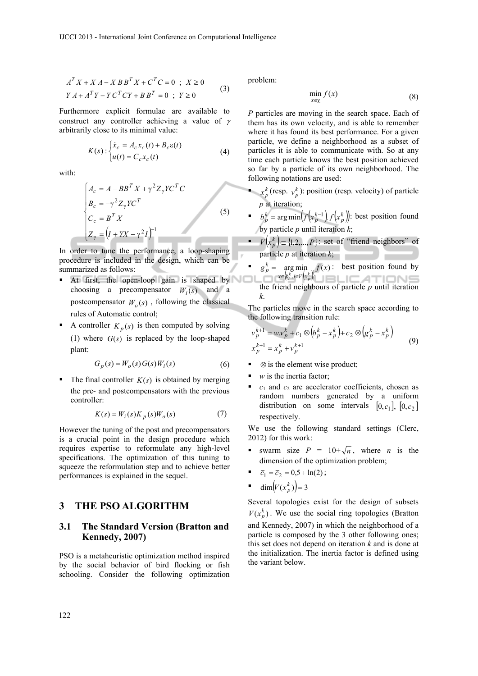$$
AT X + X A - X B BT X + CT C = 0 ; X \ge 0
$$
  
 
$$
Y A + AT Y - Y CT C Y + B BT = 0 ; Y \ge 0
$$
 (3)

Furthermore explicit formulae are available to construct any controller achieving a value of  $\gamma$ arbitrarily close to its minimal value:

$$
K(s): \begin{cases} \dot{x}_c = A_c x_c(t) + B_c \varepsilon(t) \\ u(t) = C_c x_c(t) \end{cases}
$$
 (4)

with:

$$
\begin{cases}\nA_c = A - BB^T X + \gamma^2 Z_\gamma Y C^T C \\
B_c = -\gamma^2 Z_\gamma Y C^T \\
C_c = B^T X \\
Z_\gamma = (I + YX - \gamma^2 I)^{-1}\n\end{cases}
$$
\n(5)

In order to tune the performance, a loop-shaping procedure is included in the design, which can be summarized as follows:

- At first, the open-loop gain is shaped by choosing a precompensator  $W_i(s)$  and a postcompensator  $W_o(s)$ , following the classical rules of Automatic control;
- A controller  $K_n(s)$  is then computed by solving (1) where  $G(s)$  is replaced by the loop-shaped plant:

$$
G_p(s) = W_o(s) G(s) W_i(s)
$$
\n<sup>(6)</sup>

The final controller  $K(s)$  is obtained by merging the pre- and postcompensators with the previous controller:

$$
K(s) = W_i(s)K_p(s)W_o(s)
$$
 (7)

However the tuning of the post and precompensators is a crucial point in the design procedure which requires expertise to reformulate any high-level specifications. The optimization of this tuning to squeeze the reformulation step and to achieve better performances is explained in the sequel.

# **3 THE PSO ALGORITHM**

#### **3.1 The Standard Version (Bratton and Kennedy, 2007)**

PSO is a metaheuristic optimization method inspired by the social behavior of bird flocking or fish schooling. Consider the following optimization problem:

$$
\min_{x \in \chi} f(x) \tag{8}
$$

*P* particles are moving in the search space. Each of them has its own velocity, and is able to remember where it has found its best performance. For a given particle, we define a neighborhood as a subset of particles it is able to communicate with. So at any time each particle knows the best position achieved so far by a particle of its own neighborhood. The following notations are used:

- $x_p^k$  (resp.  $v_p^k$ ): position (resp. velocity) of particle *p* at iteration;
- *p*<sub>*h*</sub>  $\frac{1}{p}$  = arg min $\left(f\left(x_{p}^{k-1}\right), f\left(x_{p}^{k}\right)\right)$ : best position found by particle  $p$  until iteration  $k$ ;
- $V(x_p^k)$   $\subset$  {1,2,..., *P*}: set of "friend neighbors" of particle *p* at iteration *k*;
- :  $\argmin_{\substack{k \\ p_i^k, i \in V(x_n^k)}} f(x)$  $g_p^k = \argmin_{x \in \{b_i^k, i \in V(x_p^k)\}} f(x)$  $\begin{array}{l} k \\ p \end{array} = \arg n \\ x \in \{b_i^k, i \in \mathbb{R}^n\}$ =  $arg min f(x)$ : best position found by the friend neighbours of particle *p* until iteration *k*.

The particles move in the search space according to the following transition rule:

$$
v_p^{k+1} = w v_p^k + c_1 \otimes (b_p^k - x_p^k) + c_2 \otimes (g_p^k - x_p^k)
$$
  

$$
x_p^{k+1} = x_p^k + v_p^{k+1}
$$
 (9)

- $\otimes$  is the element wise product;
- *w* is the inertia factor;
- $c_1$  and  $c_2$  are accelerator coefficients, chosen as random numbers generated by a uniform distribution on some intervals  $[0,\bar{c}_1]$ ,  $[0,\bar{c}_2]$ respectively.

We use the following standard settings (Clerc, 2012) for this work:

- swarm size  $P = 10 + \sqrt{n}$ , where *n* is the dimension of the optimization problem;
- $\overline{c}_1 = \overline{c}_2 = 0.5 + \ln(2);$
- **dim** $(V(x_p^k))=3$

Several topologies exist for the design of subsets  $V(x_p^k)$ . We use the social ring topologies (Bratton and Kennedy, 2007) in which the neighborhood of a particle is composed by the 3 other following ones; this set does not depend on iteration *k* and is done at the initialization. The inertia factor is defined using the variant below.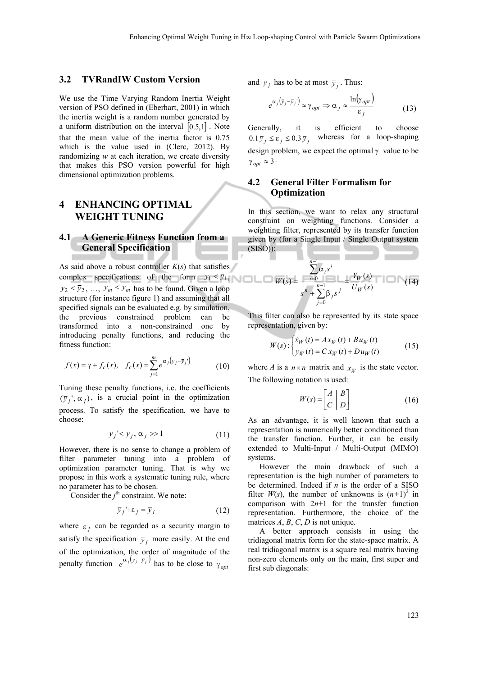#### **3.2 TVRandIW Custom Version**

We use the Time Varying Random Inertia Weight version of PSO defined in (Eberhart, 2001) in which the inertia weight is a random number generated by a uniform distribution on the interval  $[0.5,1]$ . Note that the mean value of the inertia factor is 0.75 which is the value used in (Clerc, 2012). By randomizing *w* at each iteration, we create diversity that makes this PSO version powerful for high dimensional optimization problems.

# **4 ENHANCING OPTIMAL WEIGHT TUNING**

#### **4.1 A Generic Fitness Function from a General Specification**

As said above a robust controller *K*(*s*) that satisfies complex specifications of the form  $y_1 < \bar{y}_1$ ,  $y_2 < \bar{y}_2$ , ...,  $y_m < \bar{y}_m$  has to be found. Given a loop structure (for instance figure 1) and assuming that all specified signals can be evaluated e.g. by simulation, the previous constrained problem can be transformed into a non-constrained one by introducing penalty functions, and reducing the fitness function:

$$
f(x) = \gamma + f_c(x), \quad f_c(x) = \sum_{j=1}^{m} e^{\alpha_j (y_j - \bar{y}_j)} \tag{10}
$$

Tuning these penalty functions, i.e. the coefficients  $(\bar{y}_i, \alpha_i)$ , is a crucial point in the optimization process. To satisfy the specification, we have to choose:

$$
\bar{y}_j' < \bar{y}_j, \, \alpha_j > 1 \tag{11}
$$

However, there is no sense to change a problem of filter parameter tuning into a problem of optimization parameter tuning. That is why we propose in this work a systematic tuning rule, where no parameter has to be chosen.

Consider the  $j^{\text{th}}$  constraint. We note:

$$
\bar{y}_j' + \varepsilon_j = \bar{y}_j \tag{12}
$$

where  $\epsilon_i$  can be regarded as a security margin to satisfy the specification  $\bar{y}_i$  more easily. At the end of the optimization, the order of magnitude of the penalty function  $e^{\alpha_j(y_j - \bar{y}_j)}$  has to be close to  $\gamma_{opt}$ 

and  $y_i$  has to be at most  $\overline{y}_i$ . Thus:

$$
e^{\alpha_j(\bar{y}_j - \bar{y}_j)} \approx \gamma_{opt} \Rightarrow \alpha_j \approx \frac{\ln(\gamma_{opt})}{\epsilon_j}
$$
 (13)

Generally, it is efficient to choose  $0.1 \bar{y}_i \le \varepsilon_i \le 0.3 \bar{y}_i$  whereas for a loop-shaping design problem, we expect the optimal  $\gamma$  value to be  $\gamma_{opt} \approx 3$ .

#### **4.2 General Filter Formalism for Optimization**

In this section, we want to relax any structural constraint on weighting functions. Consider a weighting filter, represented by its transfer function given by (for a Single Input / Single Output system (SISO)):

$$
W(s) = \frac{\sum_{i=0}^{n-1} \alpha_i s^i}{s^n + \sum_{j=0}^{n-1} \beta_j s^j} = \frac{Y_W(s)}{U_W(s)}
$$
(14)

This filter can also be represented by its state space representation, given by:

$$
W(s): \begin{cases} \dot{x}_W(t) = A x_W(t) + B u_W(t) \\ y_W(t) = C x_W(t) + D u_W(t) \end{cases}
$$
 (15)

where *A* is a  $n \times n$  matrix and  $x_W$  is the state vector. The following notation is used:

$$
W(s) = \left[\frac{A \mid B}{C \mid D}\right] \tag{16}
$$

As an advantage, it is well known that such a representation is numerically better conditioned than the transfer function. Further, it can be easily extended to Multi-Input / Multi-Output (MIMO) systems.

However the main drawback of such a representation is the high number of parameters to be determined. Indeed if *n* is the order of a SISO filter  $W(s)$ , the number of unknowns is  $(n+1)^2$  in comparison with  $2n+1$  for the transfer function representation. Furthermore, the choice of the matrices  $A$ ,  $B$ ,  $C$ ,  $D$  is not unique.

A better approach consists in using the tridiagonal matrix form for the state-space matrix. A real tridiagonal matrix is a square real matrix having non-zero elements only on the main, first super and first sub diagonals: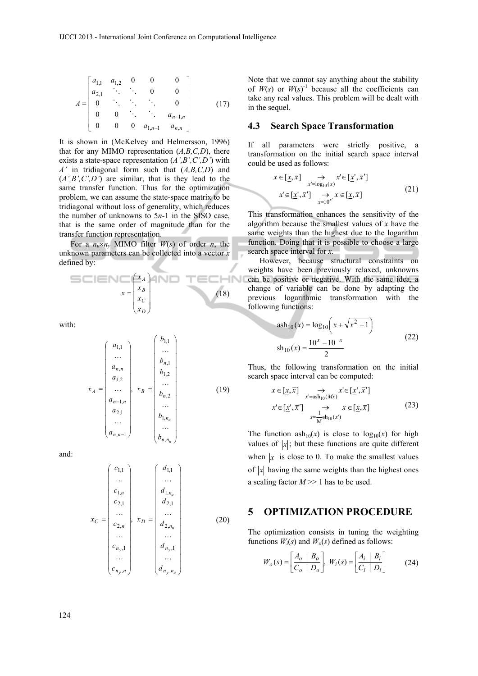$$
A = \begin{bmatrix} a_{1,1} & a_{1,2} & 0 & 0 & 0 \\ a_{2,1} & \ddots & \ddots & 0 & 0 \\ 0 & \ddots & \ddots & \ddots & 0 \\ 0 & 0 & \ddots & \ddots & a_{n-1,n} \\ 0 & 0 & 0 & a_{1,n-1} & a_{n,n} \end{bmatrix}
$$
 (17)

It is shown in (McKelvey and Helmersson, 1996) that for any MIMO representation (*A,B,C,D*), there exists a state-space representation (*A',B',C',D'*) with *A'* in tridiagonal form such that (*A,B,C,D*) and (*A',B',C',D'*) are similar, that is they lead to the same transfer function. Thus for the optimization problem, we can assume the state-space matrix to be tridiagonal without loss of generality, which reduces the number of unknowns to 5*n-*1 in the SISO case, that is the same order of magnitude than for the transfer function representation.

For a  $n_u \times n_v$  MIMO filter  $W(s)$  of order *n*, the unknown parameters can be collected into a vector *x* defined by:

$$
x = \begin{pmatrix} x_A \\ x_B \\ x_C \\ x_D \end{pmatrix}
$$
 (18)

with:

$$
x_{A} = \begin{pmatrix} a_{1,1} \\ \dots \\ a_{n,n} \\ a_{1,2} \\ \dots \\ a_{n-1,n} \\ a_{2,1} \\ \dots \\ a_{n,n-1} \end{pmatrix}, x_{B} = \begin{pmatrix} b_{1,1} \\ \dots \\ b_{n,2} \\ \dots \\ b_{n,2} \\ \dots \\ b_{1,n_u} \\ \dots \\ b_{1,n_u} \\ \dots \\ b_{n,n_u} \end{pmatrix}
$$
(19)

and:

$$
x_C = \begin{pmatrix} c_{1,1} \\ \dots \\ c_{1,n} \\ c_{2,1} \\ \dots \\ c_{2,n} \\ \dots \\ c_{n_y,1} \\ \dots \\ c_{n_y,n} \end{pmatrix}, x_D = \begin{pmatrix} d_{1,1} \\ \dots \\ d_{1,n_u} \\ d_{2,1} \\ \dots \\ d_{2,n_u} \\ \dots \\ d_{n_y,1} \\ \dots \\ d_{n_y,n_u} \end{pmatrix}
$$
(20)

Note that we cannot say anything about the stability of  $W(s)$  or  $W(s)$ <sup>-1</sup> because all the coefficients can take any real values. This problem will be dealt with in the sequel.

#### **4.3 Search Space Transformation**

If all parameters were strictly positive, a transformation on the initial search space interval could be used as follows:

$$
x \in [\underline{x}, \overline{x}] \longrightarrow x' \in [\underline{x}', \overline{x}']
$$
  
\n
$$
x' \in [\underline{x}', \overline{x}'] \longrightarrow x \in [\underline{x}, \overline{x}]
$$
  
\n
$$
x' \in [\underline{x}', \overline{x}'] \longrightarrow x \in [\underline{x}, \overline{x}]
$$
  
\n(21)

This transformation enhances the sensitivity of the algorithm because the smallest values of *x* have the same weights than the highest due to the logarithm function. Doing that it is possible to choose a large search space interval for *x.*

However, because structural constraints on weights have been previously relaxed, unknowns can be positive or negative. With the same idea, a change of variable can be done by adapting the previous logarithmic transformation with the following functions:

$$
anh_{10}(x) = log_{10}\left(x + \sqrt{x^2 + 1}\right)
$$
  
\n
$$
sh_{10}(x) = \frac{10^x - 10^{-x}}{2}
$$
\n(22)

Thus, the following transformation on the initial search space interval can be computed:

$$
x \in [\underline{x}, \overline{x}] \longrightarrow x' \in [\underline{x}', \overline{x}']
$$
  
\n
$$
x' \in [\underline{x}', \overline{x}'] \longrightarrow x \in [\underline{x}, \overline{x}]
$$
  
\n
$$
x = \frac{1}{M} \sinh(x)
$$
 (23)

The function  $ash_{10}(x)$  is close to  $log_{10}(x)$  for high values of  $|x|$ ; but these functions are quite different when  $|x|$  is close to 0. To make the smallest values of  $|x|$  having the same weights than the highest ones a scaling factor  $M \geq 1$  has to be used.

#### **5 OPTIMIZATION PROCEDURE**

The optimization consists in tuning the weighting functions  $W_i(s)$  and  $W_o(s)$  defined as follows:

$$
W_o(s) = \left[\frac{A_o \mid B_o}{C_o \mid D_o}\right], \ W_i(s) = \left[\frac{A_i \mid B_i}{C_i \mid D_i}\right]
$$
 (24)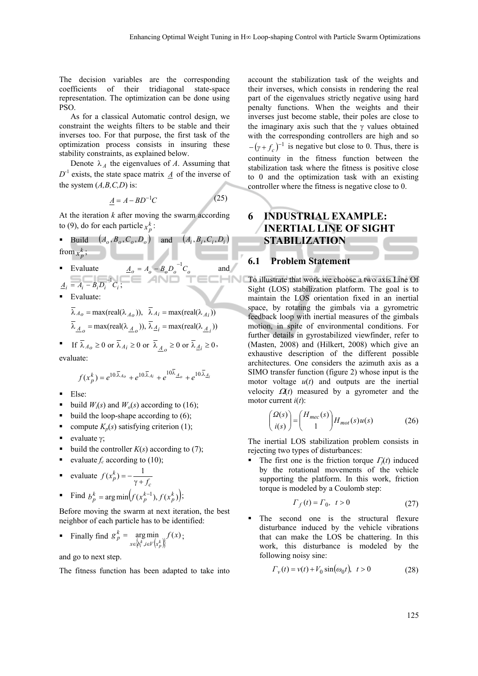The decision variables are the corresponding coefficients of their tridiagonal state-space representation. The optimization can be done using PSO.

As for a classical Automatic control design, we constraint the weights filters to be stable and their inverses too. For that purpose, the first task of the optimization process consists in insuring these stability constraints, as explained below.

Denote  $\lambda_A$  the eigenvalues of *A*. Assuming that  $D^{-1}$  exists, the state space matrix  $\underline{A}$  of the inverse of the system (*A,B,C,D*) is:

$$
\underline{A} = A - BD^{-1}C \tag{25}
$$

At the iteration *k* after moving the swarm according to (9), do for each particle  $x_p^k$ :

- **Build**  $(A_o, B_o, C_o, D_o)$  and  $(A_i, B_i, C_i, D_i)$ from  $x_p^k$ ;
- Evaluate  $\underline{A}_o = A_o B_o D_o^{-1} C_o$  and  $\underline{A}_i = A_i - B_i \overline{D_i}^{-1} C_i;$ ECHNI
- Evaluate:

 $\lambda_{\underline{A}_o}$  = max(real( $\lambda_{\underline{A}_o}$ )),  $\lambda_{\underline{A}_i}$  = max(real( $\lambda_{\underline{A}_i}$ ))  $\lambda_{A_0} = \max(\text{real}(\lambda_{A_0}))$ ,  $\lambda_{A_i} = \max(\text{real}(\lambda_{A_i}))$ 

**f** If  $\overline{\lambda}_{A_0} \ge 0$  or  $\overline{\lambda}_{A_i} \ge 0$  or  $\overline{\lambda}_{A_0} \ge 0$  or  $\overline{\lambda}_{A_i} \ge 0$ , evaluate:

$$
f(x_p^k) = e^{10\overline{\lambda}_{A_0}} + e^{10\overline{\lambda}_{A_i}} + e^{10\overline{\lambda}_{A_0}} + e^{10\overline{\lambda}_{A_i}}
$$

- $Else$
- build  $W_i(s)$  and  $W_o(s)$  according to (16);
- build the loop-shape according to (6);
- compute  $K_p(s)$  satisfying criterion (1);
- evaluate  $v$ :
- build the controller  $K(s)$  according to (7);
- evaluate  $f_c$  according to (10);
- evaluate *c*  $f(x_p^k) = -\frac{1}{\gamma + f}$
- Find  $b_p^k = \arg \min \left( f(x_p^{k-1}), f(x_p^k) \right);$

Before moving the swarm at next iteration, the best neighbor of each particle has to be identified:

**Example 11** Find 
$$
g_p^k = \underset{x \in \phi_i^k, i \in V(x_p^k)}{\arg \min} f(x)
$$
;

and go to next step.

The fitness function has been adapted to take into

account the stabilization task of the weights and their inverses, which consists in rendering the real part of the eigenvalues strictly negative using hard penalty functions. When the weights and their inverses just become stable, their poles are close to the imaginary axis such that the  $\gamma$  values obtained with the corresponding controllers are high and so  $-(\gamma + f_c)^{-1}$  is negative but close to 0. Thus, there is continuity in the fitness function between the stabilization task where the fitness is positive close to 0 and the optimization task with an existing controller where the fitness is negative close to 0.

# **6 INDUSTRIAL EXAMPLE: INERTIAL LINE OF SIGHT STABILIZATION**

#### **6.1 Problem Statement**

To illustrate that work we choose a two axis Line Of Sight (LOS) stabilization platform. The goal is to maintain the LOS orientation fixed in an inertial space, by rotating the gimbals via a gyrometric feedback loop with inertial measures of the gimbals motion, in spite of environmental conditions. For further details in gyrostabilized viewfinder, refer to (Masten, 2008) and (Hilkert, 2008) which give an exhaustive description of the different possible architectures. One considers the azimuth axis as a SIMO transfer function (figure 2) whose input is the motor voltage  $u(t)$  and outputs are the inertial velocity  $\Omega(t)$  measured by a gyrometer and the motor current *i*(*t*):

$$
\begin{pmatrix}\n\Omega(s) \\
i(s)\n\end{pmatrix} = \begin{pmatrix}\nH_{mec}(s) \\
1\n\end{pmatrix} H_{mot}(s) u(s)\n\tag{26}
$$

The inertial LOS stabilization problem consists in rejecting two types of disturbances:

The first one is the friction torque  $\Gamma_f(t)$  induced by the rotational movements of the vehicle supporting the platform. In this work, friction torque is modeled by a Coulomb step:

$$
\Gamma_f(t) = \Gamma_0, \quad t > 0 \tag{27}
$$

 The second one is the structural flexure disturbance induced by the vehicle vibrations that can make the LOS be chattering. In this work, this disturbance is modeled by the following noisy sine:

$$
\Gamma_{\nu}(t) = \nu(t) + V_0 \sin(\omega_0 t), \ \ t > 0 \tag{28}
$$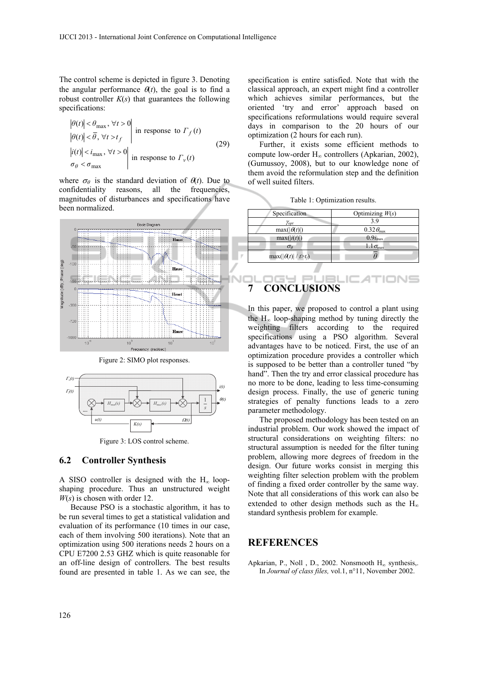The control scheme is depicted in figure 3. Denoting the angular performance  $\theta(t)$ , the goal is to find a robust controller  $K(s)$  that guarantees the following specifications:

$$
\left|\frac{\theta(t)}{\theta(t)}\right| < \theta_{\text{max}}, \forall t > 0 \\
\left|\frac{\theta(t)}{\theta}\right| < \bar{\theta}, \forall t > t_f\n\end{cases}
$$
 in response to  $\Gamma_f(t)$ \n
$$
\left|\frac{\dot{I}(t)}{\sigma_\theta < \sigma_{\text{max}}, \forall t > 0}\right|
$$
 in response to  $\Gamma_v(t)$ \n
$$
\left|\frac{\dot{I}(t)}{\sigma_\theta < \sigma_{\text{max}}}\right|
$$
\n
$$
(29)
$$

where  $\sigma_{\theta}$  is the standard deviation of  $\theta(t)$ . Due to confidentiality reasons, all the frequencies, magnitudes of disturbances and specifications have been normalized.



Figure 2: SIMO plot responses.



Figure 3: LOS control scheme.

#### **6.2 Controller Synthesis**

A SISO controller is designed with the  $H<sub>0</sub>$  loopshaping procedure. Thus an unstructured weight *W*(*s*) is chosen with order 12.

Because PSO is a stochastic algorithm, it has to be run several times to get a statistical validation and evaluation of its performance (10 times in our case, each of them involving 500 iterations). Note that an optimization using 500 iterations needs 2 hours on a CPU E7200 2.53 GHZ which is quite reasonable for an off-line design of controllers. The best results found are presented in table 1. As we can see, the

specification is entire satisfied. Note that with the classical approach, an expert might find a controller which achieves similar performances, but the oriented 'try and error' approach based on specifications reformulations would require several days in comparison to the 20 hours of our optimization (2 hours for each run).

Further, it exists some efficient methods to compute low-order  $H_{\infty}$  controllers (Apkarian, 2002), (Gumussoy, 2008), but to our knowledge none of them avoid the reformulation step and the definition of well suited filters.

Table 1: Optimization results.

| Specification             | Optimizing $W(s)$         |
|---------------------------|---------------------------|
| $\gamma_{opt}$            | 39                        |
| $max( \theta(t) )$        | $0.32\theta_{\text{max}}$ |
| max( i(t) )               | $0.9i_{\text{max}}$       |
| $\sigma_{\theta}$         | $1.1\sigma_{\text{max}}$  |
| $\max( \theta(t) /t>t_0)$ |                           |

# **7 CONCLUSIONS**

In this paper, we proposed to control a plant using the  $H_{\infty}$  loop-shaping method by tuning directly the weighting filters according to the required specifications using a PSO algorithm. Several advantages have to be noticed. First, the use of an optimization procedure provides a controller which is supposed to be better than a controller tuned "by hand". Then the try and error classical procedure has no more to be done, leading to less time-consuming design process. Finally, the use of generic tuning strategies of penalty functions leads to a zero parameter methodology.

The proposed methodology has been tested on an industrial problem. Our work showed the impact of structural considerations on weighting filters: no structural assumption is needed for the filter tuning problem, allowing more degrees of freedom in the design. Our future works consist in merging this weighting filter selection problem with the problem of finding a fixed order controller by the same way. Note that all considerations of this work can also be extended to other design methods such as the  $H_{\infty}$ standard synthesis problem for example.

# **REFERENCES**

Apkarian, P., Noll , D., 2002. Nonsmooth  $H_{\infty}$  synthesis,. In *Journal of class files,* vol.1, n°11, November 2002.